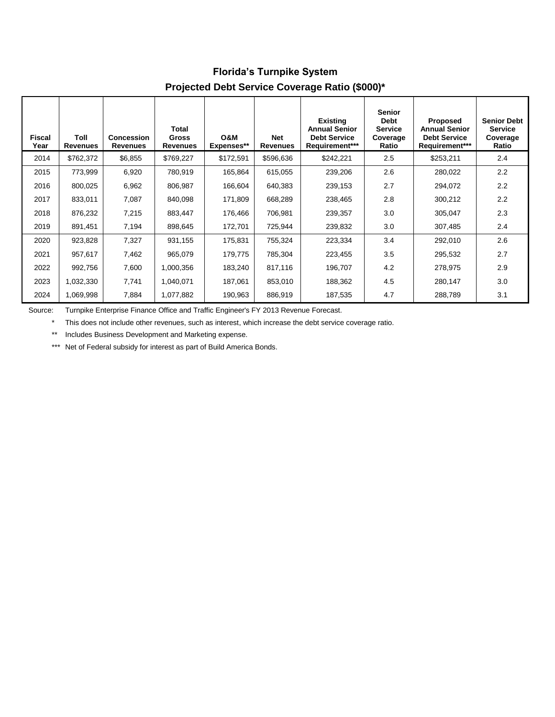| <b>TO COLOGED CALCERTING OUTSTAND HAND (WOOD)</b> |                         |                                      |                                          |                              |                               |                                                                                  |                                                                     |                                                                           |                                                           |
|---------------------------------------------------|-------------------------|--------------------------------------|------------------------------------------|------------------------------|-------------------------------|----------------------------------------------------------------------------------|---------------------------------------------------------------------|---------------------------------------------------------------------------|-----------------------------------------------------------|
| <b>Fiscal</b><br>Year                             | Toll<br><b>Revenues</b> | <b>Concession</b><br><b>Revenues</b> | Total<br><b>Gross</b><br><b>Revenues</b> | <b>N&amp;O</b><br>Expenses** | <b>Net</b><br><b>Revenues</b> | <b>Existing</b><br><b>Annual Senior</b><br><b>Debt Service</b><br>Requirement*** | <b>Senior</b><br><b>Debt</b><br><b>Service</b><br>Coverage<br>Ratio | Proposed<br><b>Annual Senior</b><br><b>Debt Service</b><br>Requirement*** | <b>Senior Debt</b><br><b>Service</b><br>Coverage<br>Ratio |
| 2014                                              | \$762,372               | \$6,855                              | \$769,227                                | \$172,591                    | \$596,636                     | \$242,221                                                                        | 2.5                                                                 | \$253,211                                                                 | 2.4                                                       |
| 2015                                              | 773,999                 | 6,920                                | 780,919                                  | 165,864                      | 615,055                       | 239,206                                                                          | 2.6                                                                 | 280,022                                                                   | 2.2                                                       |
| 2016                                              | 800,025                 | 6,962                                | 806,987                                  | 166,604                      | 640,383                       | 239,153                                                                          | 2.7                                                                 | 294,072                                                                   | 2.2                                                       |
| 2017                                              | 833,011                 | 7,087                                | 840,098                                  | 171,809                      | 668,289                       | 238,465                                                                          | 2.8                                                                 | 300,212                                                                   | 2.2                                                       |
| 2018                                              | 876,232                 | 7,215                                | 883,447                                  | 176,466                      | 706,981                       | 239,357                                                                          | 3.0                                                                 | 305,047                                                                   | 2.3                                                       |
| 2019                                              | 891,451                 | 7,194                                | 898,645                                  | 172,701                      | 725,944                       | 239,832                                                                          | 3.0                                                                 | 307,485                                                                   | 2.4                                                       |
| 2020                                              | 923,828                 | 7,327                                | 931,155                                  | 175,831                      | 755,324                       | 223,334                                                                          | 3.4                                                                 | 292,010                                                                   | 2.6                                                       |
| 2021                                              | 957,617                 | 7,462                                | 965,079                                  | 179,775                      | 785,304                       | 223,455                                                                          | 3.5                                                                 | 295,532                                                                   | 2.7                                                       |
| 2022                                              | 992,756                 | 7,600                                | 1,000,356                                | 183,240                      | 817,116                       | 196,707                                                                          | 4.2                                                                 | 278,975                                                                   | 2.9                                                       |
| 2023                                              | 1,032,330               | 7,741                                | 1,040,071                                | 187,061                      | 853,010                       | 188,362                                                                          | 4.5                                                                 | 280,147                                                                   | 3.0                                                       |
| 2024                                              | 1,069,998               | 7,884                                | 1,077,882                                | 190,963                      | 886,919                       | 187,535                                                                          | 4.7                                                                 | 288,789                                                                   | 3.1                                                       |

#### **Florida's Turnpike System Projected Debt Service Coverage Ratio (\$000)\***

Source: Turnpike Enterprise Finance Office and Traffic Engineer's FY 2013 Revenue Forecast.

\* This does not include other revenues, such as interest, which increase the debt service coverage ratio.

\*\* Includes Business Development and Marketing expense.

\*\*\* Net of Federal subsidy for interest as part of Build America Bonds.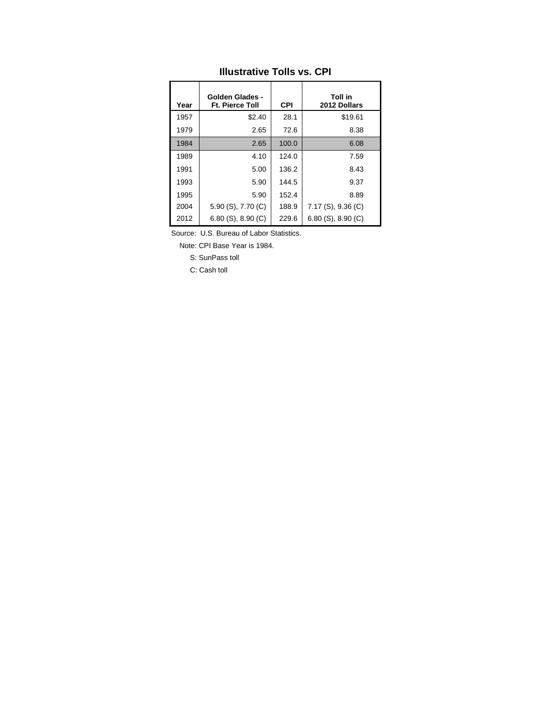| Year | <b>Golden Glades -</b><br><b>Ft. Pierce Toll</b> | <b>CPI</b> | Toll in<br>2012 Dollars |
|------|--------------------------------------------------|------------|-------------------------|
| 1957 | \$2.40                                           | 28.1       | \$19.61                 |
| 1979 | 2.65                                             | 72.6       | 8.38                    |
| 1984 | 2.65                                             | 100.0      | 6.08                    |
| 1989 | 4.10                                             | 124.0      | 7.59                    |
| 1991 | 5.00                                             | 136.2      | 8.43                    |
| 1993 | 5.90                                             | 144.5      | 9.37                    |
| 1995 | 5.90                                             | 152.4      | 8.89                    |
| 2004 | 5.90 (S), 7.70 (C)                               | 188.9      | $7.17$ (S), 9.36 (C)    |
| 2012 | $6.80$ (S), $8.90$ (C)                           | 229.6      | $6.80$ (S), $8.90$ (C)  |

## **Illustrative Tolls vs. CPI**

Source: U.S. Bureau of Labor Statistics.

Note: CPI Base Year is 1984.

S: SunPass toll

C: Cash toll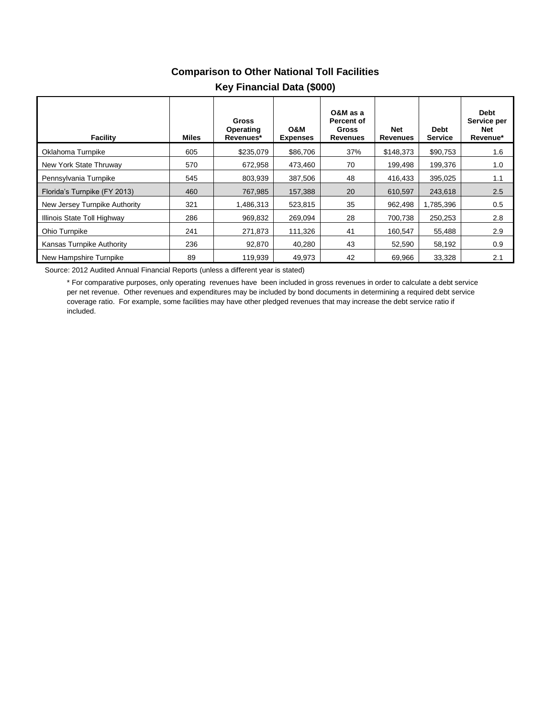# **Comparison to Other National Toll Facilities**

| Facility                      | Miles | Gross<br>Operating<br>Revenues* | <b>O&amp;M</b><br><b>Expenses</b> | O&M as a<br>Percent of<br>Gross<br><b>Revenues</b> | <b>Net</b><br><b>Revenues</b> | <b>Debt</b><br><b>Service</b> | <b>Debt</b><br>Service per<br>Net<br>Revenue* |
|-------------------------------|-------|---------------------------------|-----------------------------------|----------------------------------------------------|-------------------------------|-------------------------------|-----------------------------------------------|
| Oklahoma Turnpike             | 605   | \$235,079                       | \$86,706                          | 37%                                                | \$148,373                     | \$90,753                      | 1.6                                           |
| New York State Thruway        | 570   | 672,958                         | 473,460                           | 70                                                 | 199,498                       | 199.376                       | 1.0                                           |
| Pennsylvania Turnpike         | 545   | 803,939                         | 387.506                           | 48                                                 | 416,433                       | 395,025                       | 1.1                                           |
| Florida's Turnpike (FY 2013)  | 460   | 767.985                         | 157.388                           | 20                                                 | 610.597                       | 243.618                       | 2.5                                           |
| New Jersey Turnpike Authority | 321   | 1.486.313                       | 523,815                           | 35                                                 | 962,498                       | 1,785,396                     | 0.5                                           |
| Illinois State Toll Highway   | 286   | 969,832                         | 269,094                           | 28                                                 | 700,738                       | 250,253                       | 2.8                                           |
| Ohio Turnpike                 | 241   | 271,873                         | 111,326                           | 41                                                 | 160,547                       | 55,488                        | 2.9                                           |
| Kansas Turnpike Authority     | 236   | 92,870                          | 40,280                            | 43                                                 | 52,590                        | 58,192                        | 0.9                                           |
| New Hampshire Turnpike        | 89    | 119,939                         | 49,973                            | 42                                                 | 69,966                        | 33,328                        | 2.1                                           |

#### **Key Financial Data (\$000)**

Source: 2012 Audited Annual Financial Reports (unless a different year is stated)

\* For comparative purposes, only operating revenues have been included in gross revenues in order to calculate a debt service per net revenue. Other revenues and expenditures may be included by bond documents in determining a required debt service coverage ratio. For example, some facilities may have other pledged revenues that may increase the debt service ratio if included.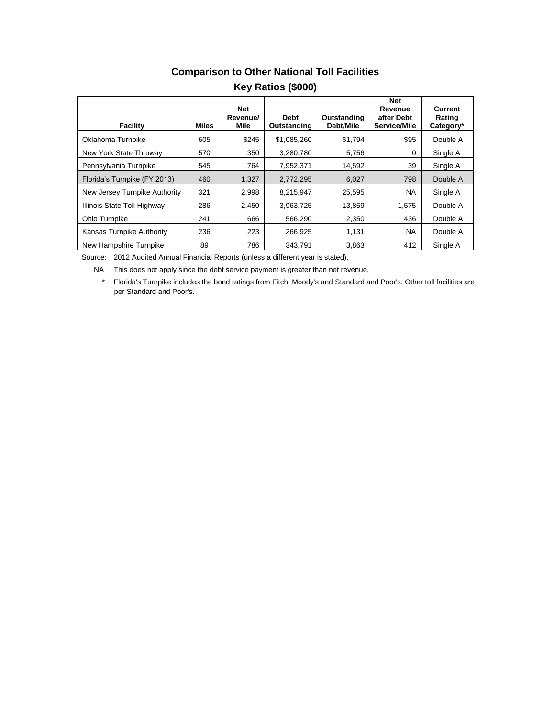| Facility                      | <b>Miles</b> | <b>Net</b><br>Revenue/<br>Mile | <b>Debt</b><br>Outstanding | Outstanding<br>Debt/Mile | <b>Net</b><br>Revenue<br>after Debt<br>Service/Mile | Current<br>Rating<br>Category* |
|-------------------------------|--------------|--------------------------------|----------------------------|--------------------------|-----------------------------------------------------|--------------------------------|
| Oklahoma Turnpike             | 605          | \$245                          | \$1.085.260                | \$1,794                  | \$95                                                | Double A                       |
| New York State Thruway        | 570          | 350                            | 3,280,780                  | 5.756                    | $\Omega$                                            | Single A                       |
| Pennsylvania Turnpike         | 545          | 764                            | 7.952.371                  | 14.592                   | 39                                                  | Single A                       |
| Florida's Turnpike (FY 2013)  | 460          | 1,327                          | 2,772,295                  | 6,027                    | 798                                                 | Double A                       |
| New Jersey Turnpike Authority | 321          | 2.998                          | 8,215,947                  | 25,595                   | <b>NA</b>                                           | Single A                       |
| Illinois State Toll Highway   | 286          | 2,450                          | 3,963,725                  | 13,859                   | 1.575                                               | Double A                       |
| Ohio Turnpike                 | 241          | 666                            | 566.290                    | 2.350                    | 436                                                 | Double A                       |
| Kansas Turnpike Authority     | 236          | 223                            | 266.925                    | 1,131                    | <b>NA</b>                                           | Double A                       |
| New Hampshire Turnpike        | 89           | 786                            | 343.791                    | 3,863                    | 412                                                 | Single A                       |

# **Comparison to Other National Toll Facilities**

**Key Ratios (\$000)**

Source: 2012 Audited Annual Financial Reports (unless a different year is stated).

NA This does not apply since the debt service payment is greater than net revenue.

\* Florida's Turnpike includes the bond ratings from Fitch, Moody's and Standard and Poor's. Other toll facilities are per Standard and Poor's.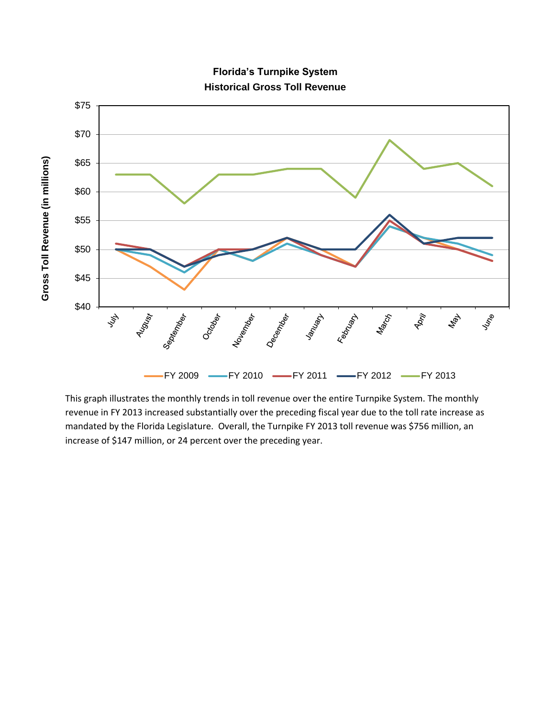

**Florida's Turnpike System Historical Gross Toll Revenue**

This graph illustrates the monthly trends in toll revenue over the entire Turnpike System. The monthly revenue in FY 2013 increased substantially over the preceding fiscal year due to the toll rate increase as mandated by the Florida Legislature. Overall, the Turnpike FY 2013 toll revenue was \$756 million, an increase of \$147 million, or 24 percent over the preceding year.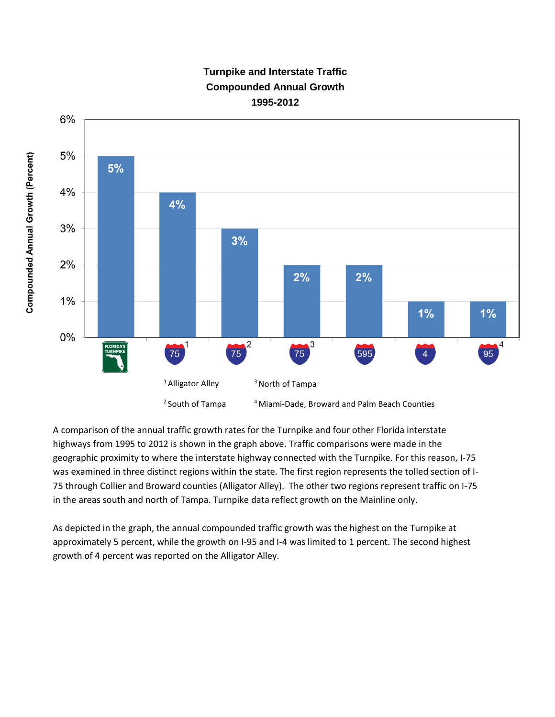

## **Turnpike and Interstate Traffic Compounded Annual Growth 1995-2012**

A comparison of the annual traffic growth rates for the Turnpike and four other Florida interstate highways from 1995 to 2012 is shown in the graph above. Traffic comparisons were made in the geographic proximity to where the interstate highway connected with the Turnpike. For this reason, I-75 was examined in three distinct regions within the state. The first region represents the tolled section of I-75 through Collier and Broward counties (Alligator Alley). The other two regions represent traffic on I-75 in the areas south and north of Tampa. Turnpike data reflect growth on the Mainline only.

As depicted in the graph, the annual compounded traffic growth was the highest on the Turnpike at approximately 5 percent, while the growth on I-95 and I-4 was limited to 1 percent. The second highest growth of 4 percent was reported on the Alligator Alley.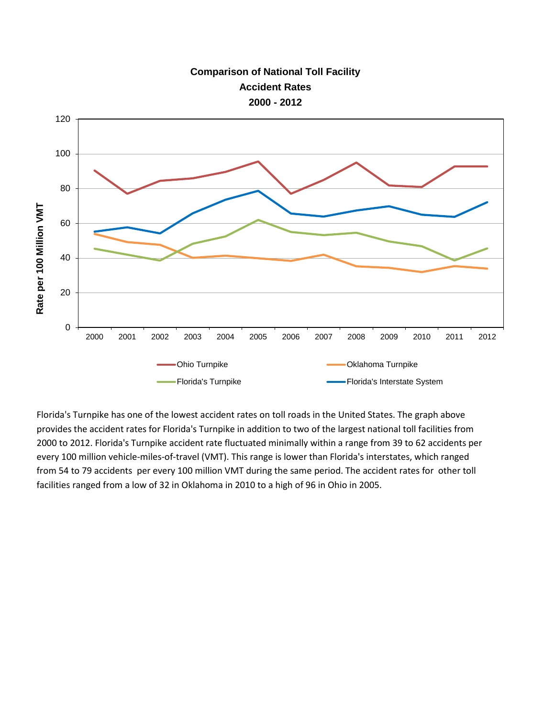

Florida's Turnpike has one of the lowest accident rates on toll roads in the United States. The graph above provides the accident rates for Florida's Turnpike in addition to two of the largest national toll facilities from 2000 to 2012. Florida's Turnpike accident rate fluctuated minimally within a range from 39 to 62 accidents per every 100 million vehicle-miles-of-travel (VMT). This range is lower than Florida's interstates, which ranged from 54 to 79 accidents per every 100 million VMT during the same period. The accident rates for other toll facilities ranged from a low of 32 in Oklahoma in 2010 to a high of 96 in Ohio in 2005.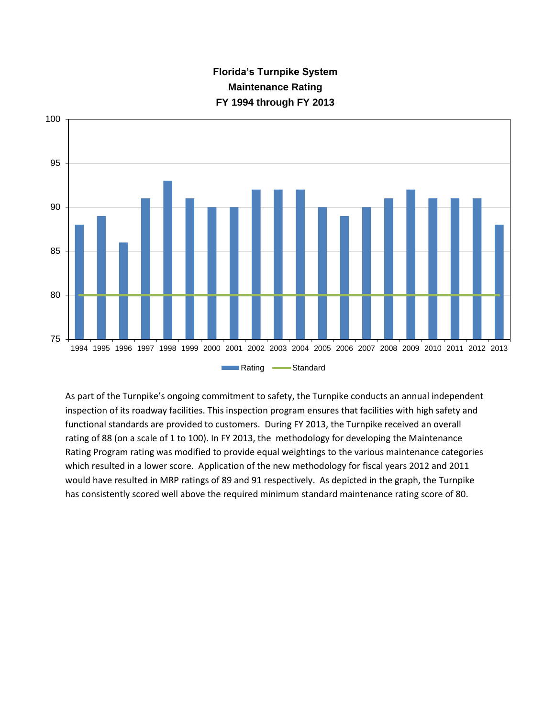



As part of the Turnpike's ongoing commitment to safety, the Turnpike conducts an annual independent inspection of its roadway facilities. This inspection program ensures that facilities with high safety and functional standards are provided to customers. During FY 2013, the Turnpike received an overall rating of 88 (on a scale of 1 to 100). In FY 2013, the methodology for developing the Maintenance Rating Program rating was modified to provide equal weightings to the various maintenance categories which resulted in a lower score. Application of the new methodology for fiscal years 2012 and 2011 would have resulted in MRP ratings of 89 and 91 respectively. As depicted in the graph, the Turnpike has consistently scored well above the required minimum standard maintenance rating score of 80.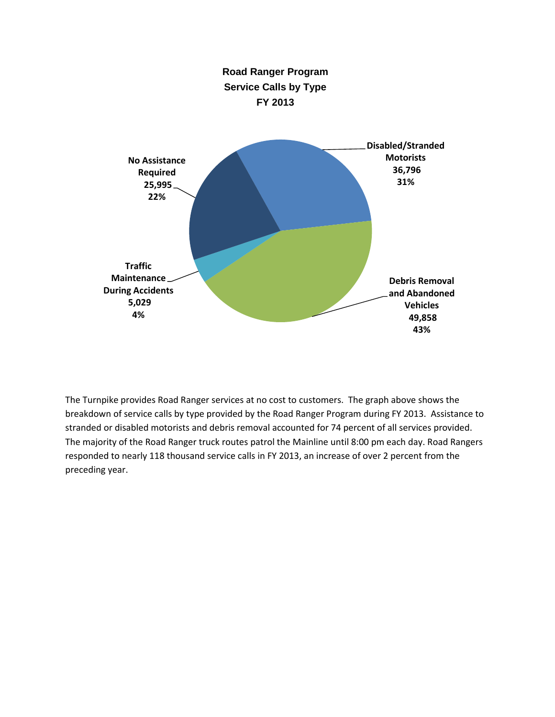

The Turnpike provides Road Ranger services at no cost to customers. The graph above shows the breakdown of service calls by type provided by the Road Ranger Program during FY 2013. Assistance to stranded or disabled motorists and debris removal accounted for 74 percent of all services provided. The majority of the Road Ranger truck routes patrol the Mainline until 8:00 pm each day. Road Rangers responded to nearly 118 thousand service calls in FY 2013, an increase of over 2 percent from the preceding year.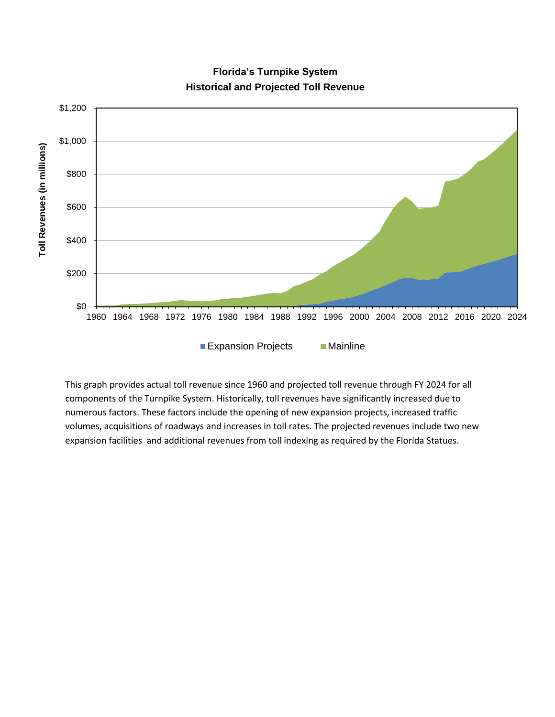

**Florida's Turnpike System Historical and Projected Toll Revenue**

This graph provides actual toll revenue since 1960 and projected toll revenue through FY 2024 for all components of the Turnpike System. Historically, toll revenues have significantly increased due to numerous factors. These factors include the opening of new expansion projects, increased traffic volumes, acquisitions of roadways and increases in toll rates. The projected revenues include two new expansion facilities and additional revenues from toll indexing as required by the Florida Statues.